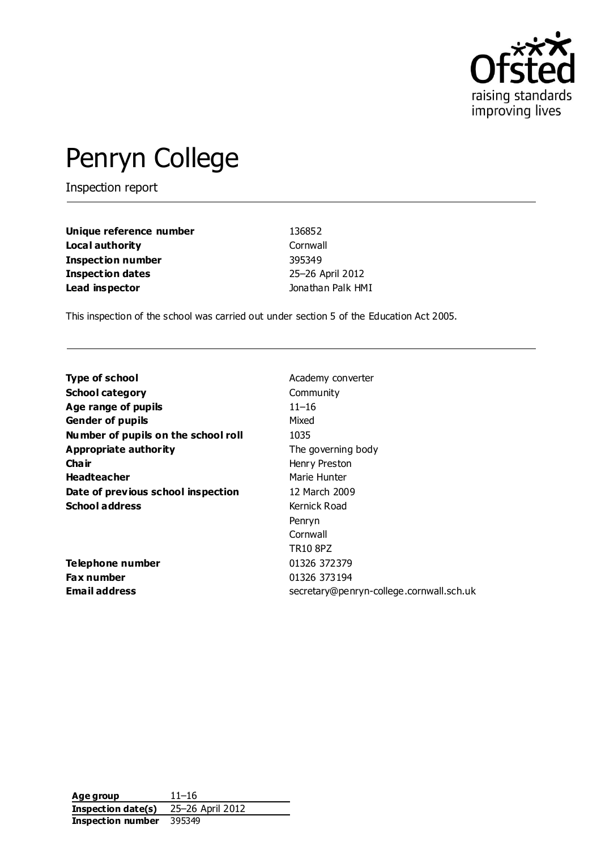

# Penryn College

Inspection report

| Unique reference number | 136852            |
|-------------------------|-------------------|
| Local authority         | Cornwall          |
| Inspection number       | 395349            |
| <b>Inspection dates</b> | 25-26 April 2012  |
| Lead inspector          | Jonathan Palk HMI |

This inspection of the school was carried out under section 5 of the Education Act 2005.

| <b>Type of school</b>               | Academy converter                        |
|-------------------------------------|------------------------------------------|
| <b>School category</b>              | Community                                |
| Age range of pupils                 | $11 - 16$                                |
| <b>Gender of pupils</b>             | Mixed                                    |
| Number of pupils on the school roll | 1035                                     |
| Appropriate authority               | The governing body                       |
| Cha ir                              | Henry Preston                            |
| <b>Headteacher</b>                  | Marie Hunter                             |
| Date of previous school inspection  | 12 March 2009                            |
| <b>School address</b>               | Kernick Road                             |
|                                     | Penryn                                   |
|                                     | Cornwall                                 |
|                                     | <b>TR10 8PZ</b>                          |
| Telephone number                    | 01326 372379                             |
| <b>Fax number</b>                   | 01326 373194                             |
| Email address                       | secretary@penryn-college.cornwall.sch.uk |
|                                     |                                          |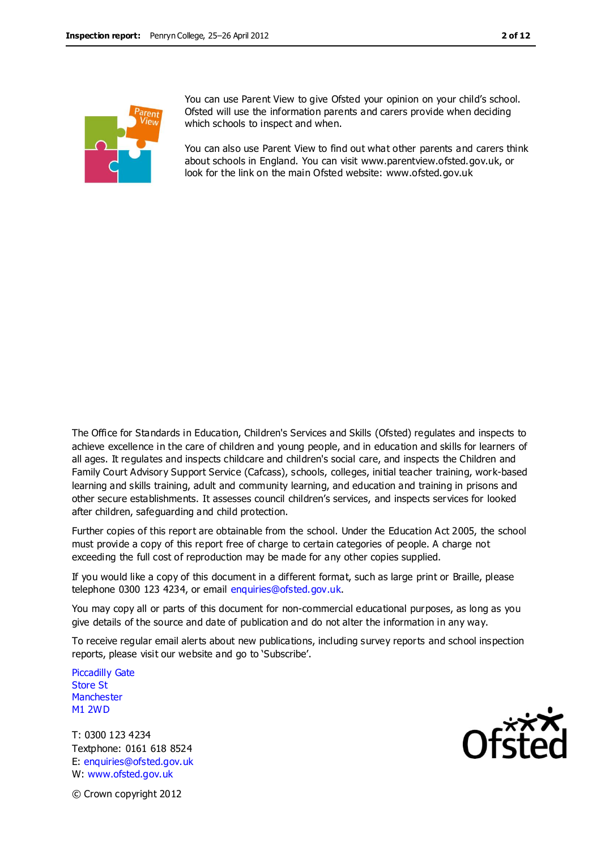

You can use Parent View to give Ofsted your opinion on your child's school. Ofsted will use the information parents and carers provide when deciding which schools to inspect and when.

You can also use Parent View to find out what other parents and carers think about schools in England. You can visit www.parentview.ofsted.gov.uk, or look for the link on the main Ofsted website: www.ofsted.gov.uk

The Office for Standards in Education, Children's Services and Skills (Ofsted) regulates and inspects to achieve excellence in the care of children and young people, and in education and skills for learners of all ages. It regulates and inspects childcare and children's social care, and inspects the Children and Family Court Advisory Support Service (Cafcass), schools, colleges, initial teacher training, work-based learning and skills training, adult and community learning, and education and training in prisons and other secure establishments. It assesses council children's services, and inspects services for looked after children, safeguarding and child protection.

Further copies of this report are obtainable from the school. Under the Education Act 2005, the school must provide a copy of this report free of charge to certain categories of people. A charge not exceeding the full cost of reproduction may be made for any other copies supplied.

If you would like a copy of this document in a different format, such as large print or Braille, please telephone 0300 123 4234, or email enquiries@ofsted.gov.uk.

You may copy all or parts of this document for non-commercial educational purposes, as long as you give details of the source and date of publication and do not alter the information in any way.

To receive regular email alerts about new publications, including survey reports and school inspection reports, please visit our website and go to 'Subscribe'.

Piccadilly Gate Store St **Manchester** M1 2WD

T: 0300 123 4234 Textphone: 0161 618 8524 E: enquiries@ofsted.gov.uk W: www.ofsted.gov.uk



© Crown copyright 2012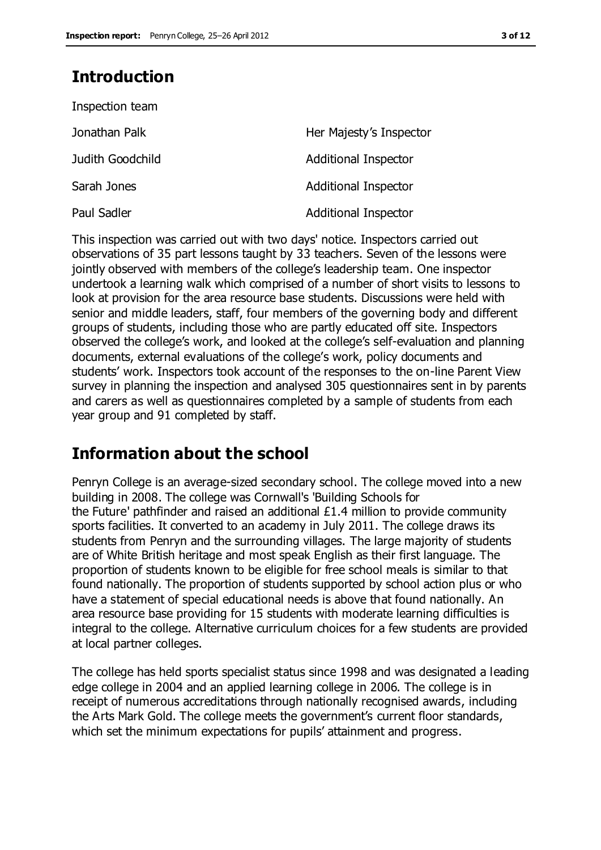## **Introduction**

| Inspection team  |                             |
|------------------|-----------------------------|
| Jonathan Palk    | Her Majesty's Inspector     |
| Judith Goodchild | <b>Additional Inspector</b> |
| Sarah Jones      | <b>Additional Inspector</b> |
| Paul Sadler      | <b>Additional Inspector</b> |

This inspection was carried out with two days' notice. Inspectors carried out observations of 35 part lessons taught by 33 teachers. Seven of the lessons were jointly observed with members of the college's leadership team. One inspector undertook a learning walk which comprised of a number of short visits to lessons to look at provision for the area resource base students. Discussions were held with senior and middle leaders, staff, four members of the governing body and different groups of students, including those who are partly educated off site. Inspectors observed the college's work, and looked at the college's self-evaluation and planning documents, external evaluations of the college's work, policy documents and students' work. Inspectors took account of the responses to the on-line Parent View survey in planning the inspection and analysed 305 questionnaires sent in by parents and carers as well as questionnaires completed by a sample of students from each year group and 91 completed by staff.

## **Information about the school**

Penryn College is an average-sized secondary school. The college moved into a new building in 2008. The college was Cornwall's 'Building Schools for the Future' pathfinder and raised an additional £1.4 million to provide community sports facilities. It converted to an academy in July 2011. The college draws its students from Penryn and the surrounding villages. The large majority of students are of White British heritage and most speak English as their first language. The proportion of students known to be eligible for free school meals is similar to that found nationally. The proportion of students supported by school action plus or who have a statement of special educational needs is above that found nationally. An area resource base providing for 15 students with moderate learning difficulties is integral to the college. Alternative curriculum choices for a few students are provided at local partner colleges.

The college has held sports specialist status since 1998 and was designated a leading edge college in 2004 and an applied learning college in 2006. The college is in receipt of numerous accreditations through nationally recognised awards, including the Arts Mark Gold. The college meets the government's current floor standards, which set the minimum expectations for pupils' attainment and progress.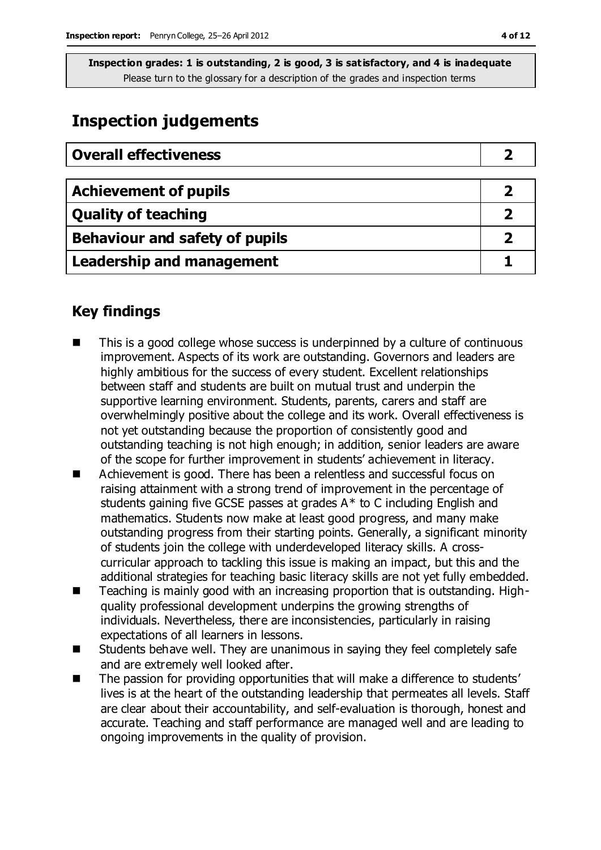## **Inspection judgements**

| <b>Overall effectiveness</b>          |  |
|---------------------------------------|--|
|                                       |  |
| <b>Achievement of pupils</b>          |  |
| <b>Quality of teaching</b>            |  |
| <b>Behaviour and safety of pupils</b> |  |
| <b>Leadership and management</b>      |  |

## **Key findings**

- This is a good college whose success is underpinned by a culture of continuous improvement. Aspects of its work are outstanding. Governors and leaders are highly ambitious for the success of every student. Excellent relationships between staff and students are built on mutual trust and underpin the supportive learning environment. Students, parents, carers and staff are overwhelmingly positive about the college and its work. Overall effectiveness is not yet outstanding because the proportion of consistently good and outstanding teaching is not high enough; in addition, senior leaders are aware of the scope for further improvement in students' achievement in literacy.
- Achievement is good. There has been a relentless and successful focus on raising attainment with a strong trend of improvement in the percentage of students gaining five GCSE passes at grades A\* to C including English and mathematics. Students now make at least good progress, and many make outstanding progress from their starting points. Generally, a significant minority of students join the college with underdeveloped literacy skills. A crosscurricular approach to tackling this issue is making an impact, but this and the additional strategies for teaching basic literacy skills are not yet fully embedded.
- Teaching is mainly good with an increasing proportion that is outstanding. Highquality professional development underpins the growing strengths of individuals. Nevertheless, there are inconsistencies, particularly in raising expectations of all learners in lessons.
- Students behave well. They are unanimous in saying they feel completely safe and are extremely well looked after.
- The passion for providing opportunities that will make a difference to students' lives is at the heart of the outstanding leadership that permeates all levels. Staff are clear about their accountability, and self-evaluation is thorough, honest and accurate. Teaching and staff performance are managed well and are leading to ongoing improvements in the quality of provision.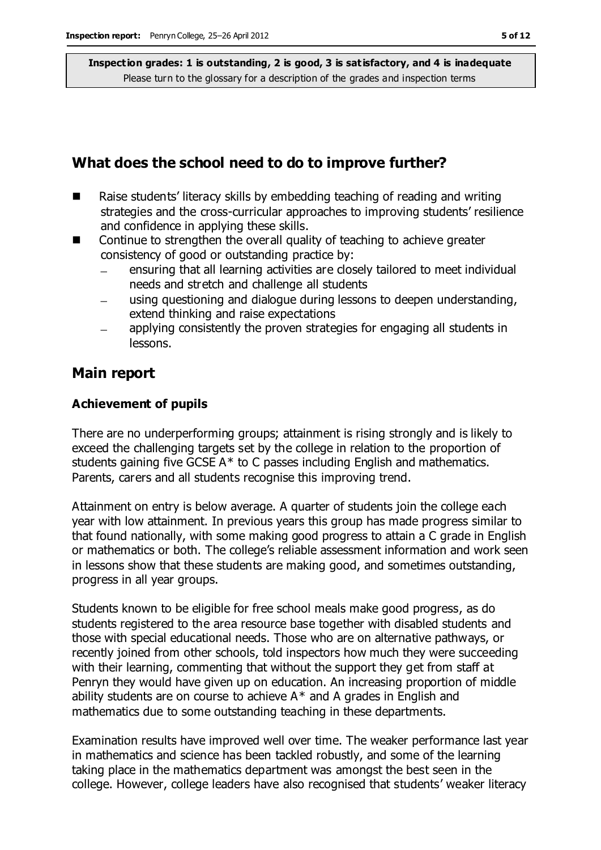## **What does the school need to do to improve further?**

- Raise students' literacy skills by embedding teaching of reading and writing strategies and the cross-curricular approaches to improving students' resilience and confidence in applying these skills.
- Continue to strengthen the overall quality of teaching to achieve greater consistency of good or outstanding practice by:
	- ensuring that all learning activities are closely tailored to meet individual needs and stretch and challenge all students
	- using questioning and dialogue during lessons to deepen understanding, extend thinking and raise expectations
	- applying consistently the proven strategies for engaging all students in lessons.

## **Main report**

### **Achievement of pupils**

There are no underperforming groups; attainment is rising strongly and is likely to exceed the challenging targets set by the college in relation to the proportion of students gaining five GCSE A\* to C passes including English and mathematics. Parents, carers and all students recognise this improving trend.

Attainment on entry is below average. A quarter of students join the college each year with low attainment. In previous years this group has made progress similar to that found nationally, with some making good progress to attain a C grade in English or mathematics or both. The college's reliable assessment information and work seen in lessons show that these students are making good, and sometimes outstanding, progress in all year groups.

Students known to be eligible for free school meals make good progress, as do students registered to the area resource base together with disabled students and those with special educational needs. Those who are on alternative pathways, or recently joined from other schools, told inspectors how much they were succeeding with their learning, commenting that without the support they get from staff at Penryn they would have given up on education. An increasing proportion of middle ability students are on course to achieve  $A^*$  and A grades in English and mathematics due to some outstanding teaching in these departments.

Examination results have improved well over time. The weaker performance last year in mathematics and science has been tackled robustly, and some of the learning taking place in the mathematics department was amongst the best seen in the college. However, college leaders have also recognised that students' weaker literacy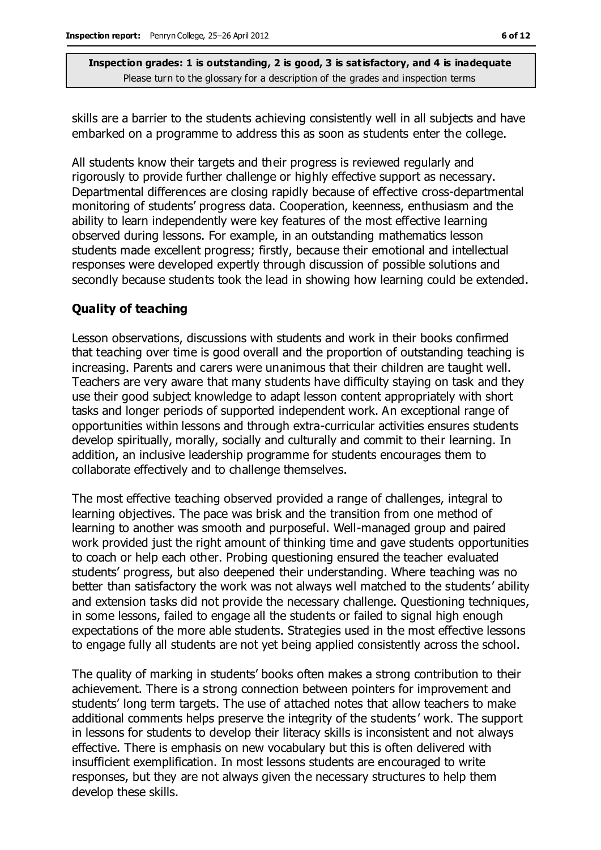skills are a barrier to the students achieving consistently well in all subjects and have embarked on a programme to address this as soon as students enter the college.

All students know their targets and their progress is reviewed regularly and rigorously to provide further challenge or highly effective support as necessary. Departmental differences are closing rapidly because of effective cross-departmental monitoring of students' progress data. Cooperation, keenness, enthusiasm and the ability to learn independently were key features of the most effective learning observed during lessons. For example, in an outstanding mathematics lesson students made excellent progress; firstly, because their emotional and intellectual responses were developed expertly through discussion of possible solutions and secondly because students took the lead in showing how learning could be extended.

### **Quality of teaching**

Lesson observations, discussions with students and work in their books confirmed that teaching over time is good overall and the proportion of outstanding teaching is increasing. Parents and carers were unanimous that their children are taught well. Teachers are very aware that many students have difficulty staying on task and they use their good subject knowledge to adapt lesson content appropriately with short tasks and longer periods of supported independent work. An exceptional range of opportunities within lessons and through extra-curricular activities ensures students develop spiritually, morally, socially and culturally and commit to their learning. In addition, an inclusive leadership programme for students encourages them to collaborate effectively and to challenge themselves.

The most effective teaching observed provided a range of challenges, integral to learning objectives. The pace was brisk and the transition from one method of learning to another was smooth and purposeful. Well-managed group and paired work provided just the right amount of thinking time and gave students opportunities to coach or help each other. Probing questioning ensured the teacher evaluated students' progress, but also deepened their understanding. Where teaching was no better than satisfactory the work was not always well matched to the students' ability and extension tasks did not provide the necessary challenge. Questioning techniques, in some lessons, failed to engage all the students or failed to signal high enough expectations of the more able students. Strategies used in the most effective lessons to engage fully all students are not yet being applied consistently across the school.

The quality of marking in students' books often makes a strong contribution to their achievement. There is a strong connection between pointers for improvement and students' long term targets. The use of attached notes that allow teachers to make additional comments helps preserve the integrity of the students ' work. The support in lessons for students to develop their literacy skills is inconsistent and not always effective. There is emphasis on new vocabulary but this is often delivered with insufficient exemplification. In most lessons students are encouraged to write responses, but they are not always given the necessary structures to help them develop these skills.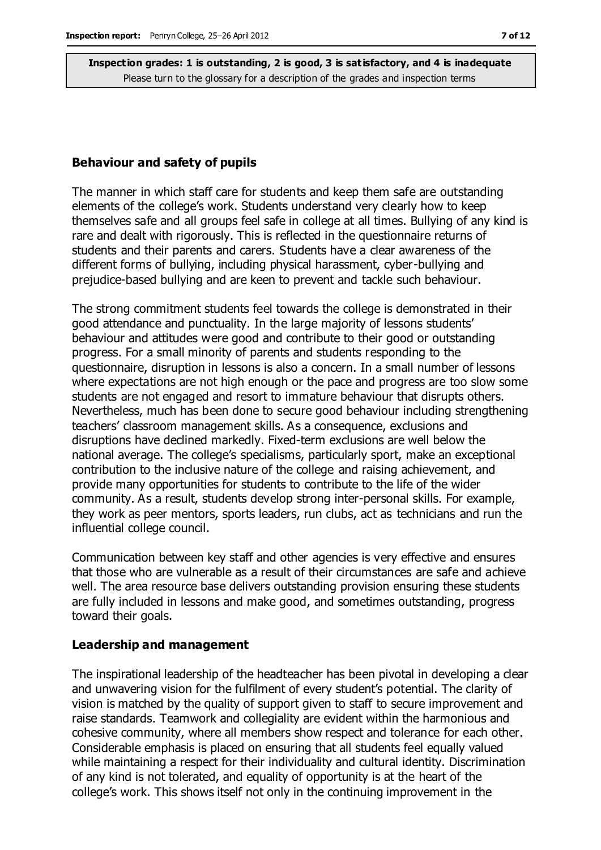#### **Behaviour and safety of pupils**

The manner in which staff care for students and keep them safe are outstanding elements of the college's work. Students understand very clearly how to keep themselves safe and all groups feel safe in college at all times. Bullying of any kind is rare and dealt with rigorously. This is reflected in the questionnaire returns of students and their parents and carers. Students have a clear awareness of the different forms of bullying, including physical harassment, cyber-bullying and prejudice-based bullying and are keen to prevent and tackle such behaviour.

The strong commitment students feel towards the college is demonstrated in their good attendance and punctuality. In the large majority of lessons students' behaviour and attitudes were good and contribute to their good or outstanding progress. For a small minority of parents and students responding to the questionnaire, disruption in lessons is also a concern. In a small number of lessons where expectations are not high enough or the pace and progress are too slow some students are not engaged and resort to immature behaviour that disrupts others. Nevertheless, much has been done to secure good behaviour including strengthening teachers' classroom management skills. As a consequence, exclusions and disruptions have declined markedly. Fixed-term exclusions are well below the national average. The college's specialisms, particularly sport, make an exceptional contribution to the inclusive nature of the college and raising achievement, and provide many opportunities for students to contribute to the life of the wider community. As a result, students develop strong inter-personal skills. For example, they work as peer mentors, sports leaders, run clubs, act as technicians and run the influential college council.

Communication between key staff and other agencies is very effective and ensures that those who are vulnerable as a result of their circumstances are safe and achieve well. The area resource base delivers outstanding provision ensuring these students are fully included in lessons and make good, and sometimes outstanding, progress toward their goals.

#### **Leadership and management**

The inspirational leadership of the headteacher has been pivotal in developing a clear and unwavering vision for the fulfilment of every student's potential. The clarity of vision is matched by the quality of support given to staff to secure improvement and raise standards. Teamwork and collegiality are evident within the harmonious and cohesive community, where all members show respect and tolerance for each other. Considerable emphasis is placed on ensuring that all students feel equally valued while maintaining a respect for their individuality and cultural identity. Discrimination of any kind is not tolerated, and equality of opportunity is at the heart of the college's work. This shows itself not only in the continuing improvement in the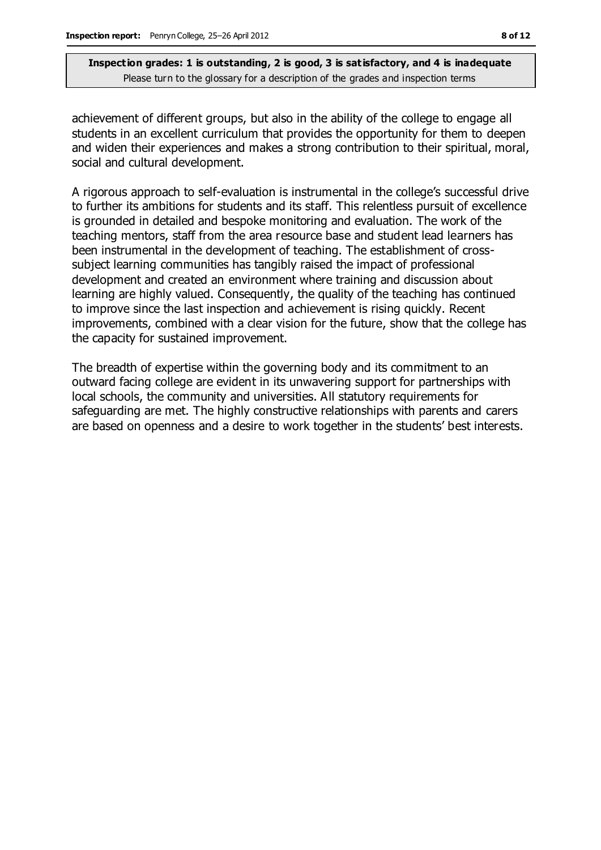achievement of different groups, but also in the ability of the college to engage all students in an excellent curriculum that provides the opportunity for them to deepen and widen their experiences and makes a strong contribution to their spiritual, moral, social and cultural development.

A rigorous approach to self-evaluation is instrumental in the college's successful drive to further its ambitions for students and its staff. This relentless pursuit of excellence is grounded in detailed and bespoke monitoring and evaluation. The work of the teaching mentors, staff from the area resource base and student lead learners has been instrumental in the development of teaching. The establishment of crosssubject learning communities has tangibly raised the impact of professional development and created an environment where training and discussion about learning are highly valued. Consequently, the quality of the teaching has continued to improve since the last inspection and achievement is rising quickly. Recent improvements, combined with a clear vision for the future, show that the college has the capacity for sustained improvement.

The breadth of expertise within the governing body and its commitment to an outward facing college are evident in its unwavering support for partnerships with local schools, the community and universities. All statutory requirements for safeguarding are met. The highly constructive relationships with parents and carers are based on openness and a desire to work together in the students' best interests.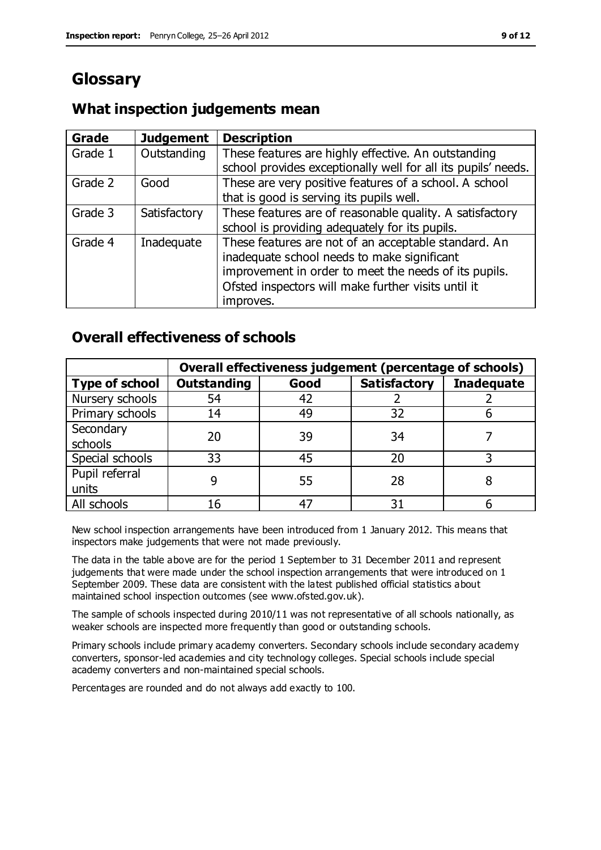## **Glossary**

## **What inspection judgements mean**

| Grade   | <b>Judgement</b> | <b>Description</b>                                            |
|---------|------------------|---------------------------------------------------------------|
| Grade 1 | Outstanding      | These features are highly effective. An outstanding           |
|         |                  | school provides exceptionally well for all its pupils' needs. |
| Grade 2 | Good             | These are very positive features of a school. A school        |
|         |                  | that is good is serving its pupils well.                      |
| Grade 3 | Satisfactory     | These features are of reasonable quality. A satisfactory      |
|         |                  | school is providing adequately for its pupils.                |
| Grade 4 | Inadequate       | These features are not of an acceptable standard. An          |
|         |                  | inadequate school needs to make significant                   |
|         |                  | improvement in order to meet the needs of its pupils.         |
|         |                  | Ofsted inspectors will make further visits until it           |
|         |                  | improves.                                                     |

## **Overall effectiveness of schools**

|                       | Overall effectiveness judgement (percentage of schools) |      |                     |                   |
|-----------------------|---------------------------------------------------------|------|---------------------|-------------------|
| <b>Type of school</b> | <b>Outstanding</b>                                      | Good | <b>Satisfactory</b> | <b>Inadequate</b> |
| Nursery schools       | 54                                                      | 42   |                     |                   |
| Primary schools       | 14                                                      | 49   | 32                  |                   |
| Secondary             | 20                                                      | 39   | 34                  |                   |
| schools               |                                                         |      |                     |                   |
| Special schools       | 33                                                      | 45   | 20                  |                   |
| Pupil referral        |                                                         | 55   | 28                  |                   |
| units                 |                                                         |      |                     |                   |
| All schools           | 16                                                      | 47   | 31                  |                   |

New school inspection arrangements have been introduced from 1 January 2012. This means that inspectors make judgements that were not made previously.

The data in the table above are for the period 1 September to 31 December 2011 and represent judgements that were made under the school inspection arrangements that were introduced on 1 September 2009. These data are consistent with the latest published official statistics about maintained school inspection outcomes (see www.ofsted.gov.uk).

The sample of schools inspected during 2010/11 was not representative of all schools nationally, as weaker schools are inspected more frequently than good or outstanding schools.

Primary schools include primary academy converters. Secondary schools include secondary academy converters, sponsor-led academies and city technology colleges. Special schools include special academy converters and non-maintained special schools.

Percentages are rounded and do not always add exactly to 100.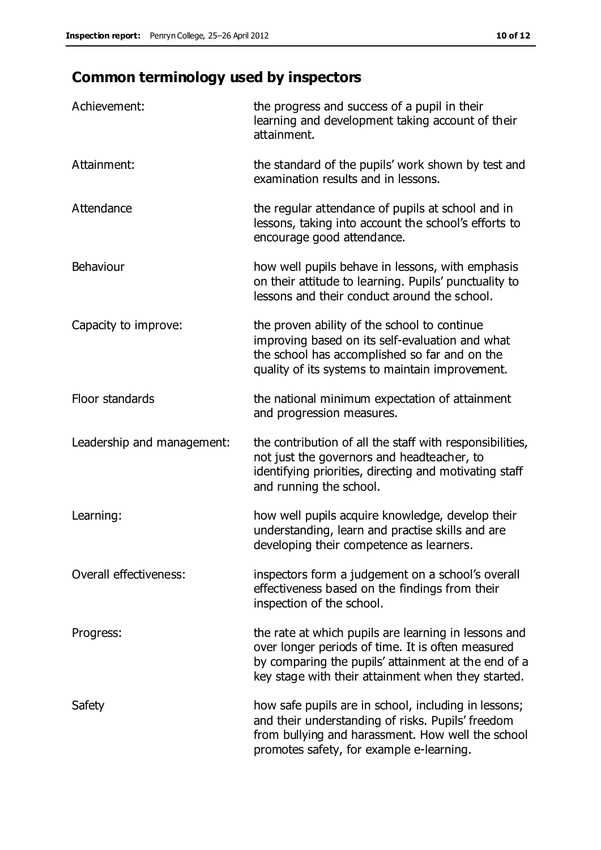## **Common terminology used by inspectors**

| Achievement:                  | the progress and success of a pupil in their<br>learning and development taking account of their<br>attainment.                                                                                                        |
|-------------------------------|------------------------------------------------------------------------------------------------------------------------------------------------------------------------------------------------------------------------|
| Attainment:                   | the standard of the pupils' work shown by test and<br>examination results and in lessons.                                                                                                                              |
| Attendance                    | the regular attendance of pupils at school and in<br>lessons, taking into account the school's efforts to<br>encourage good attendance.                                                                                |
| Behaviour                     | how well pupils behave in lessons, with emphasis<br>on their attitude to learning. Pupils' punctuality to<br>lessons and their conduct around the school.                                                              |
| Capacity to improve:          | the proven ability of the school to continue<br>improving based on its self-evaluation and what<br>the school has accomplished so far and on the<br>quality of its systems to maintain improvement.                    |
| Floor standards               | the national minimum expectation of attainment<br>and progression measures.                                                                                                                                            |
| Leadership and management:    | the contribution of all the staff with responsibilities,<br>not just the governors and headteacher, to<br>identifying priorities, directing and motivating staff<br>and running the school.                            |
| Learning:                     | how well pupils acquire knowledge, develop their<br>understanding, learn and practise skills and are<br>developing their competence as learners.                                                                       |
| <b>Overall effectiveness:</b> | inspectors form a judgement on a school's overall<br>effectiveness based on the findings from their<br>inspection of the school.                                                                                       |
| Progress:                     | the rate at which pupils are learning in lessons and<br>over longer periods of time. It is often measured<br>by comparing the pupils' attainment at the end of a<br>key stage with their attainment when they started. |
| Safety                        | how safe pupils are in school, including in lessons;<br>and their understanding of risks. Pupils' freedom<br>from bullying and harassment. How well the school<br>promotes safety, for example e-learning.             |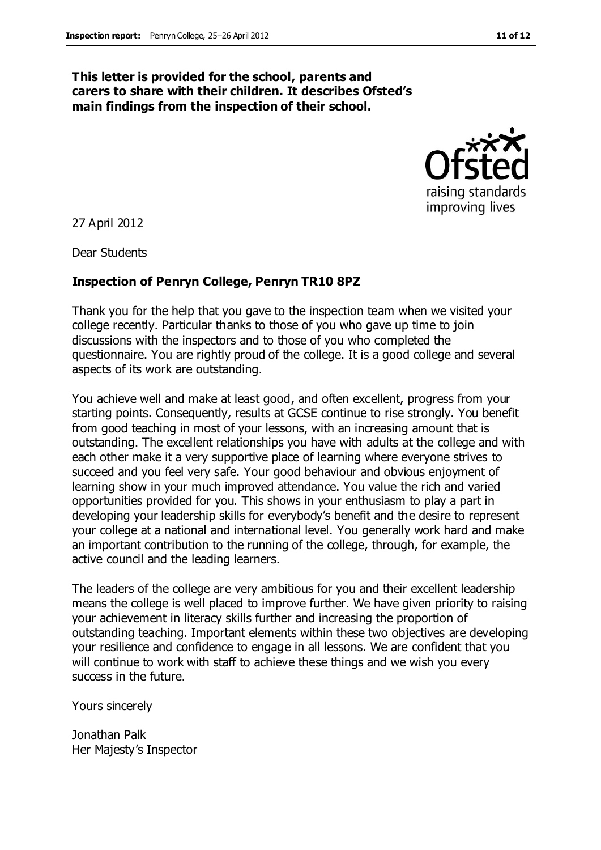#### **This letter is provided for the school, parents and carers to share with their children. It describes Ofsted's main findings from the inspection of their school.**



27 April 2012

Dear Students

#### **Inspection of Penryn College, Penryn TR10 8PZ**

Thank you for the help that you gave to the inspection team when we visited your college recently. Particular thanks to those of you who gave up time to join discussions with the inspectors and to those of you who completed the questionnaire. You are rightly proud of the college. It is a good college and several aspects of its work are outstanding.

You achieve well and make at least good, and often excellent, progress from your starting points. Consequently, results at GCSE continue to rise strongly. You benefit from good teaching in most of your lessons, with an increasing amount that is outstanding. The excellent relationships you have with adults at the college and with each other make it a very supportive place of learning where everyone strives to succeed and you feel very safe. Your good behaviour and obvious enjoyment of learning show in your much improved attendance. You value the rich and varied opportunities provided for you. This shows in your enthusiasm to play a part in developing your leadership skills for everybody's benefit and the desire to represent your college at a national and international level. You generally work hard and make an important contribution to the running of the college, through, for example, the active council and the leading learners.

The leaders of the college are very ambitious for you and their excellent leadership means the college is well placed to improve further. We have given priority to raising your achievement in literacy skills further and increasing the proportion of outstanding teaching. Important elements within these two objectives are developing your resilience and confidence to engage in all lessons. We are confident that you will continue to work with staff to achieve these things and we wish you every success in the future.

Yours sincerely

Jonathan Palk Her Majesty's Inspector